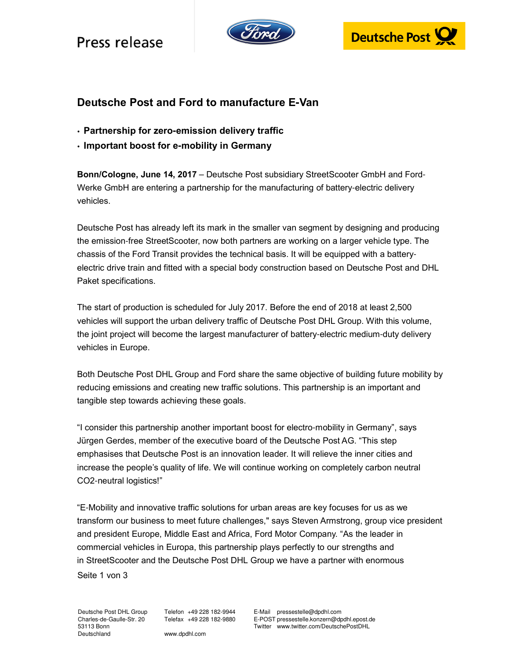## Press release





### **Deutsche Post and Ford to manufacture E-Van**

- **Partnership for zero-emission delivery traffic**
- **Important boost for e-mobility in Germany**

**Bonn/Cologne, June 14, 2017** – Deutsche Post subsidiary StreetScooter GmbH and Ford-Werke GmbH are entering a partnership for the manufacturing of battery-electric delivery vehicles.

Deutsche Post has already left its mark in the smaller van segment by designing and producing the emission-free StreetScooter, now both partners are working on a larger vehicle type. The chassis of the Ford Transit provides the technical basis. It will be equipped with a batteryelectric drive train and fitted with a special body construction based on Deutsche Post and DHL Paket specifications.

The start of production is scheduled for July 2017. Before the end of 2018 at least 2,500 vehicles will support the urban delivery traffic of Deutsche Post DHL Group. With this volume, the joint project will become the largest manufacturer of battery-electric medium-duty delivery vehicles in Europe.

Both Deutsche Post DHL Group and Ford share the same objective of building future mobility by reducing emissions and creating new traffic solutions. This partnership is an important and tangible step towards achieving these goals.

"I consider this partnership another important boost for electro-mobility in Germany", says Jürgen Gerdes, member of the executive board of the Deutsche Post AG. "This step emphasises that Deutsche Post is an innovation leader. It will relieve the inner cities and increase the people's quality of life. We will continue working on completely carbon neutral CO2-neutral logistics!"

Seite 1 von 3 "E-Mobility and innovative traffic solutions for urban areas are key focuses for us as we transform our business to meet future challenges," says Steven Armstrong, group vice president and president Europe, Middle East and Africa, Ford Motor Company. "As the leader in commercial vehicles in Europa, this partnership plays perfectly to our strengths and in StreetScooter and the Deutsche Post DHL Group we have a partner with enormous

Deutsche Post DHL Group Charles-de-Gaulle-Str. 20 53113 Bonn Deutschland

Telefon +49 228 182-9944 Telefax +49 228 182-9880

E-Mail pressestelle@dpdhl.com E-POST pressestelle.konzern@dpdhl.epost.de Twitter www.twitter.com/DeutschePostDHL

www.dpdhl.com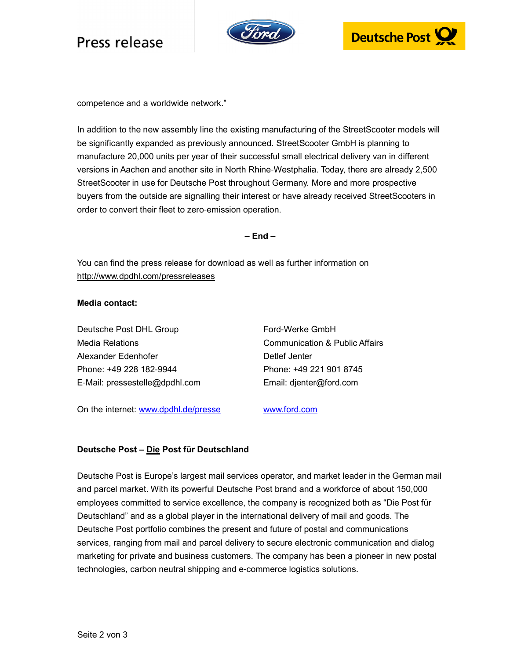# Press release





competence and a worldwide network."

In addition to the new assembly line the existing manufacturing of the StreetScooter models will be significantly expanded as previously announced. StreetScooter GmbH is planning to manufacture 20,000 units per year of their successful small electrical delivery van in different versions in Aachen and another site in North Rhine-Westphalia. Today, there are already 2,500 StreetScooter in use for Deutsche Post throughout Germany. More and more prospective buyers from the outside are signalling their interest or have already received StreetScooters in order to convert their fleet to zero-emission operation.

**– End –** 

You can find the press release for download as well as further information on http://www.dpdhl.com/pressreleases

#### **Media contact:**

Deutsche Post DHL Group Ford-Werke GmbH Media Relations Communication & Public Affairs Alexander Edenhofer **Detlef Jenter** Detlef Jenter Phone: +49 228 182-9944 Phone: +49 221 901 8745 E-Mail: pressestelle@dpdhl.com Email: djenter@ford.com

On the internet: www.dpdhl.de/presse www.ford.com

### **Deutsche Post – Die Post für Deutschland**

Deutsche Post is Europe's largest mail services operator, and market leader in the German mail and parcel market. With its powerful Deutsche Post brand and a workforce of about 150,000 employees committed to service excellence, the company is recognized both as "Die Post für Deutschland" and as a global player in the international delivery of mail and goods. The Deutsche Post portfolio combines the present and future of postal and communications services, ranging from mail and parcel delivery to secure electronic communication and dialog marketing for private and business customers. The company has been a pioneer in new postal technologies, carbon neutral shipping and e-commerce logistics solutions.